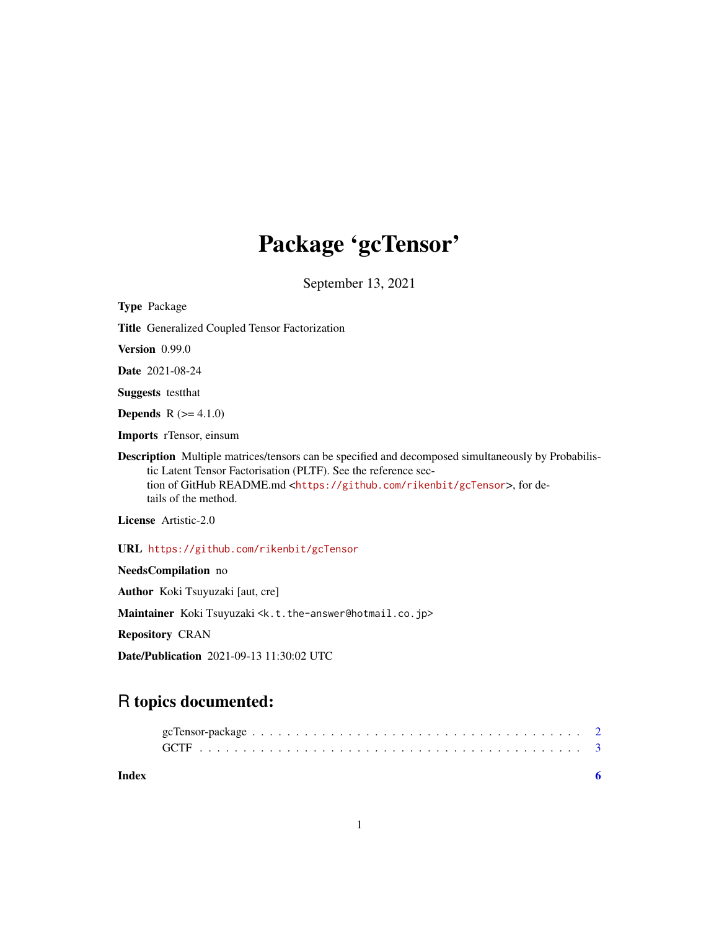# Package 'gcTensor'

September 13, 2021

Type Package Title Generalized Coupled Tensor Factorization Version 0.99.0 Date 2021-08-24 Suggests testthat **Depends**  $R (= 4.1.0)$ Imports rTensor, einsum Description Multiple matrices/tensors can be specified and decomposed simultaneously by Probabilistic Latent Tensor Factorisation (PLTF). See the reference section of GitHub README.md <<https://github.com/rikenbit/gcTensor>>, for details of the method. License Artistic-2.0 URL <https://github.com/rikenbit/gcTensor> NeedsCompilation no Author Koki Tsuyuzaki [aut, cre]

Maintainer Koki Tsuyuzaki <k.t.the-answer@hotmail.co.jp>

Repository CRAN

Date/Publication 2021-09-13 11:30:02 UTC

# R topics documented:

| Index |  |
|-------|--|

1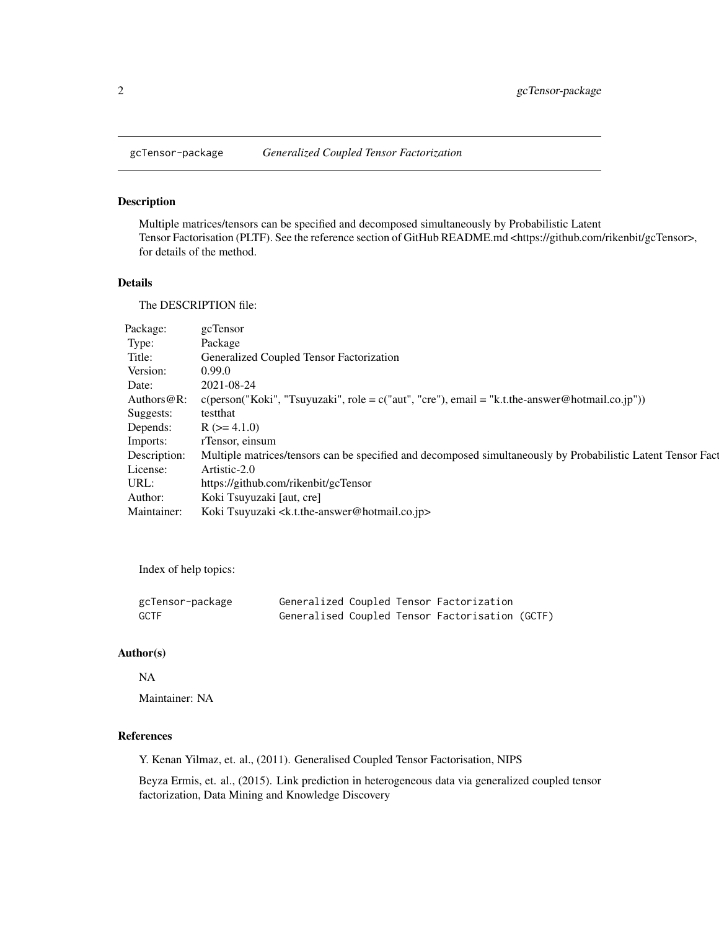<span id="page-1-0"></span>

# Description

Multiple matrices/tensors can be specified and decomposed simultaneously by Probabilistic Latent Tensor Factorisation (PLTF). See the reference section of GitHub README.md <https://github.com/rikenbit/gcTensor>, for details of the method.

## Details

The DESCRIPTION file:

| Package:       | gcTensor                                                                                                                |
|----------------|-------------------------------------------------------------------------------------------------------------------------|
| Type:          | Package                                                                                                                 |
| Title:         | Generalized Coupled Tensor Factorization                                                                                |
| Version:       | 0.99.0                                                                                                                  |
| Date:          | 2021-08-24                                                                                                              |
| Authors $@R$ : | $c(\text{person}("Koki", "Tsuyuzaki", \text{role} = c("aut", "cre"), \text{email} = "k.t. the -answer@hotmail.co.jp"))$ |
| Suggests:      | testthat                                                                                                                |
| Depends:       | $R$ ( $> = 4.1.0$ )                                                                                                     |
| Imports:       | rTensor, einsum                                                                                                         |
| Description:   | Multiple matrices/tensors can be specified and decomposed simultaneously by Probabilistic Latent Tensor Fact            |
| License:       | Artistic-2.0                                                                                                            |
| URL:           | https://github.com/rikenbit/gcTensor                                                                                    |
| Author:        | Koki Tsuyuzaki [aut, cre]                                                                                               |
| Maintainer:    | Koki Tsuyuzaki <k.t.the-answer@hotmail.co.jp></k.t.the-answer@hotmail.co.jp>                                            |

Index of help topics:

| gcTensor-package |  | Generalized Coupled Tensor Factorization        |  |
|------------------|--|-------------------------------------------------|--|
| <b>GCTF</b>      |  | Generalised Coupled Tensor Factorisation (GCTF) |  |

# Author(s)

## NA

Maintainer: NA

# References

Y. Kenan Yilmaz, et. al., (2011). Generalised Coupled Tensor Factorisation, NIPS

Beyza Ermis, et. al., (2015). Link prediction in heterogeneous data via generalized coupled tensor factorization, Data Mining and Knowledge Discovery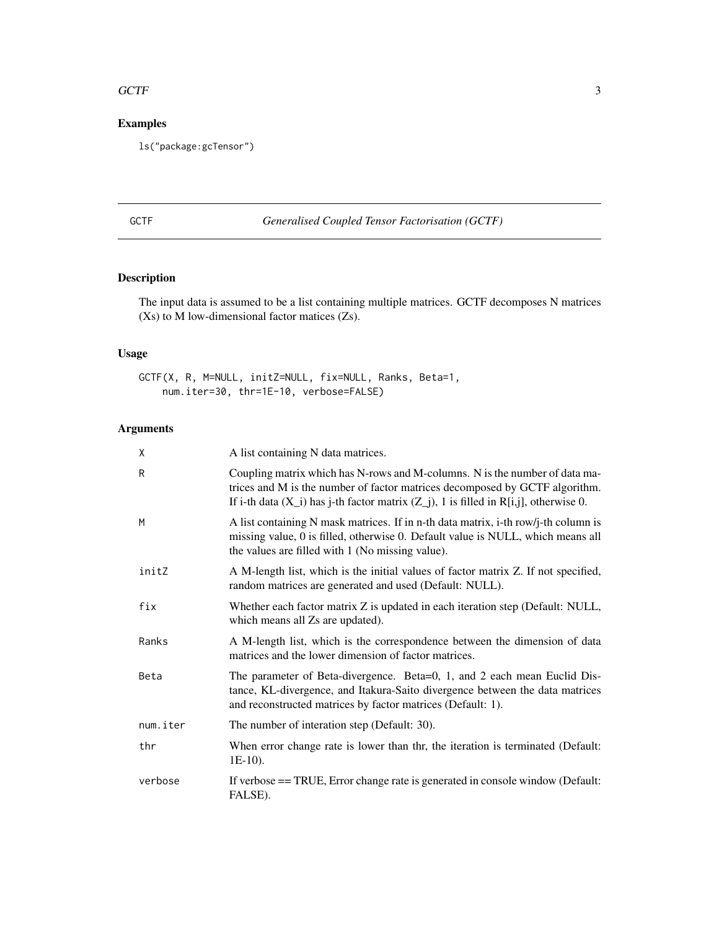#### <span id="page-2-0"></span> $GCTF$  3

# Examples

ls("package:gcTensor")

# GCTF *Generalised Coupled Tensor Factorisation (GCTF)*

# Description

The input data is assumed to be a list containing multiple matrices. GCTF decomposes N matrices (Xs) to M low-dimensional factor matices (Zs).

# Usage

GCTF(X, R, M=NULL, initZ=NULL, fix=NULL, Ranks, Beta=1, num.iter=30, thr=1E-10, verbose=FALSE)

# Arguments

| χ        | A list containing N data matrices.                                                                                                                                                                                                                      |
|----------|---------------------------------------------------------------------------------------------------------------------------------------------------------------------------------------------------------------------------------------------------------|
| R        | Coupling matrix which has N-rows and M-columns. N is the number of data ma-<br>trices and M is the number of factor matrices decomposed by GCTF algorithm.<br>If i-th data $(X_i)$ has j-th factor matrix $(Z_i)$ , 1 is filled in R[i,j], otherwise 0. |
| M        | A list containing N mask matrices. If in n-th data matrix, i-th row/j-th column is<br>missing value, 0 is filled, otherwise 0. Default value is NULL, which means all<br>the values are filled with 1 (No missing value).                               |
| initZ    | A M-length list, which is the initial values of factor matrix Z. If not specified,<br>random matrices are generated and used (Default: NULL).                                                                                                           |
| fix      | Whether each factor matrix Z is updated in each iteration step (Default: NULL,<br>which means all Zs are updated).                                                                                                                                      |
| Ranks    | A M-length list, which is the correspondence between the dimension of data<br>matrices and the lower dimension of factor matrices.                                                                                                                      |
| Beta     | The parameter of Beta-divergence. Beta=0, 1, and 2 each mean Euclid Dis-<br>tance, KL-divergence, and Itakura-Saito divergence between the data matrices<br>and reconstructed matrices by factor matrices (Default: 1).                                 |
| num.iter | The number of interation step (Default: 30).                                                                                                                                                                                                            |
| thr      | When error change rate is lower than thr, the iteration is terminated (Default:<br>$1E-10$ ).                                                                                                                                                           |
| verbose  | If verbose == TRUE, Error change rate is generated in console window (Default:<br>FALSE).                                                                                                                                                               |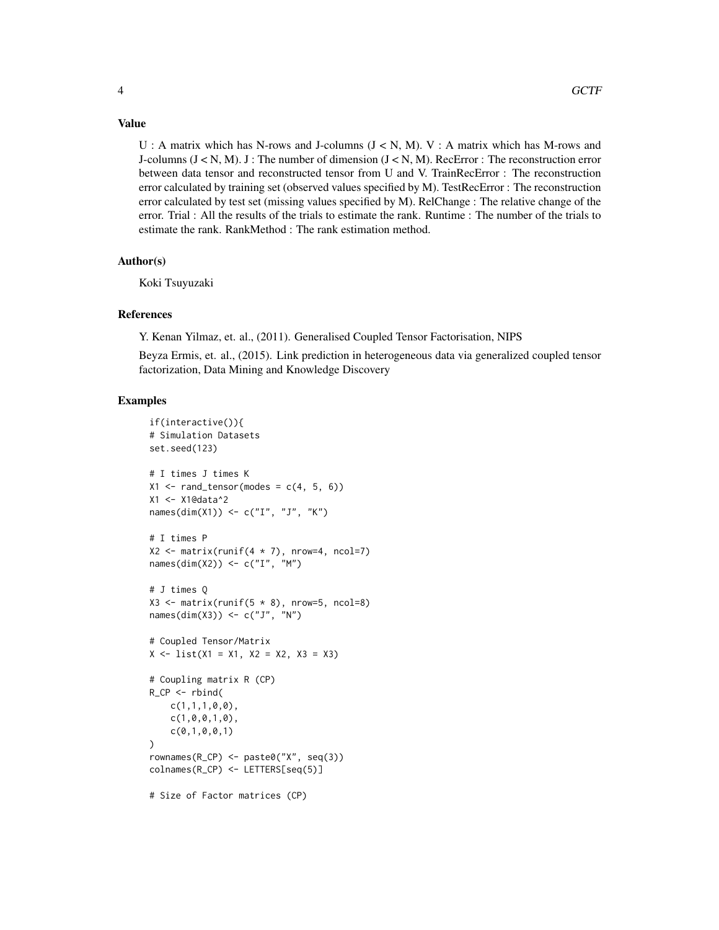# Value

U : A matrix which has N-rows and J-columns  $(J < N, M)$ . V : A matrix which has M-rows and J-columns  $(J \lt N, M)$ . J : The number of dimension  $(J \lt N, M)$ . RecError : The reconstruction error between data tensor and reconstructed tensor from U and V. TrainRecError : The reconstruction error calculated by training set (observed values specified by M). TestRecError : The reconstruction error calculated by test set (missing values specified by M). RelChange : The relative change of the error. Trial : All the results of the trials to estimate the rank. Runtime : The number of the trials to estimate the rank. RankMethod : The rank estimation method.

# Author(s)

Koki Tsuyuzaki

# References

Y. Kenan Yilmaz, et. al., (2011). Generalised Coupled Tensor Factorisation, NIPS

Beyza Ermis, et. al., (2015). Link prediction in heterogeneous data via generalized coupled tensor factorization, Data Mining and Knowledge Discovery

#### Examples

```
if(interactive()){
# Simulation Datasets
set.seed(123)
# I times J times K
X1 \leq - rand_tensor(modes = c(4, 5, 6))
X1 <- X1@data^2
names(dim(X1)) <- c("I", "J", "K")
# I times P
X2 \le matrix(runif(4 * 7), nrow=4, ncol=7)
names(dim(X2)) <- c("I", "M")
# J times Q
X3 \le matrix(runif(5 * 8), nrow=5, ncol=8)
names(dim(X3)) <- c("J", "N")# Coupled Tensor/Matrix
X \leftarrow \text{list}(X1 = X1, X2 = X2, X3 = X3)# Coupling matrix R (CP)
R_CPP \leftarrow rbind(c(1,1,1,0,0),
    c(1,0,0,1,0),
    c(0,1,0,0,1)
)
rownames(R_CP) <- paste0("X", seq(3))
colnames(R_CP) <- LETTERS[seq(5)]
# Size of Factor matrices (CP)
```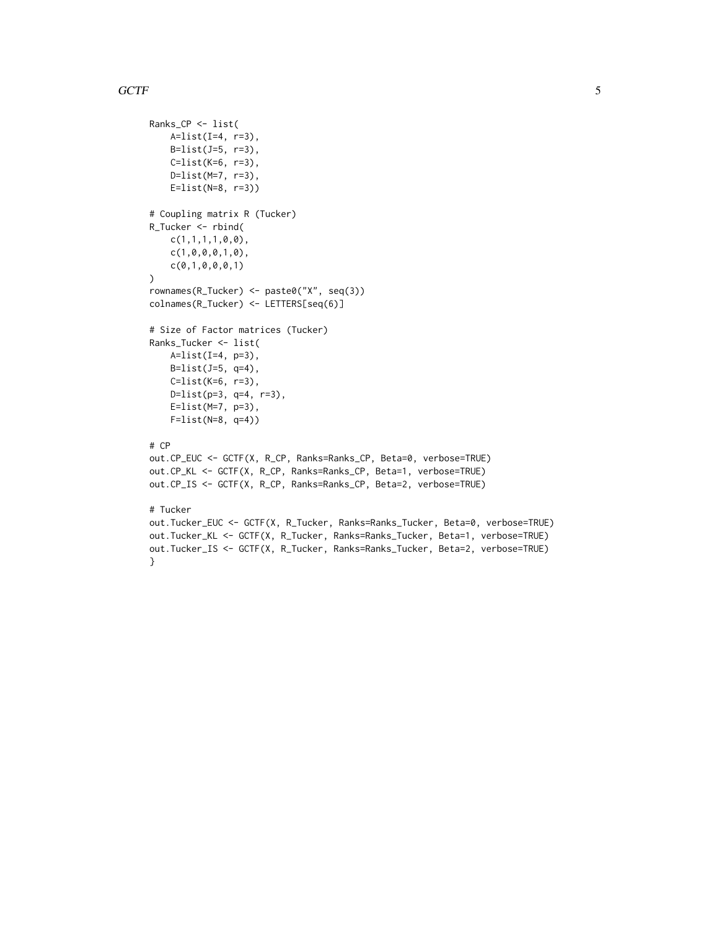# $GCTF$  5

}

```
Ranks_CP <- list(
    A=list(I=4, r=3),
    B=list(J=5, r=3),
   C=list(K=6, r=3),D=list(M=7, r=3),
    E=list(N=8, r=3))
# Coupling matrix R (Tucker)
R_Tucker <- rbind(
    c(1,1,1,1,0,0),
    c(1,0,0,0,1,0),
    c(0,1,0,0,0,1)
)
rownames(R_Tucker) <- paste0("X", seq(3))
colnames(R_Tucker) <- LETTERS[seq(6)]
# Size of Factor matrices (Tucker)
Ranks_Tucker <- list(
   A=list(I=4, p=3),
    B=list(J=5, q=4),
    C=list(K=6, r=3),
    D=list(p=3, q=4, r=3),
    E=list(M=7, p=3),
    F=list(N=8, q=4))
# CP
out.CP_EUC <- GCTF(X, R_CP, Ranks=Ranks_CP, Beta=0, verbose=TRUE)
out.CP_KL <- GCTF(X, R_CP, Ranks=Ranks_CP, Beta=1, verbose=TRUE)
out.CP_IS <- GCTF(X, R_CP, Ranks=Ranks_CP, Beta=2, verbose=TRUE)
# Tucker
out.Tucker_EUC <- GCTF(X, R_Tucker, Ranks=Ranks_Tucker, Beta=0, verbose=TRUE)
out.Tucker_KL <- GCTF(X, R_Tucker, Ranks=Ranks_Tucker, Beta=1, verbose=TRUE)
```
out.Tucker\_IS <- GCTF(X, R\_Tucker, Ranks=Ranks\_Tucker, Beta=2, verbose=TRUE)